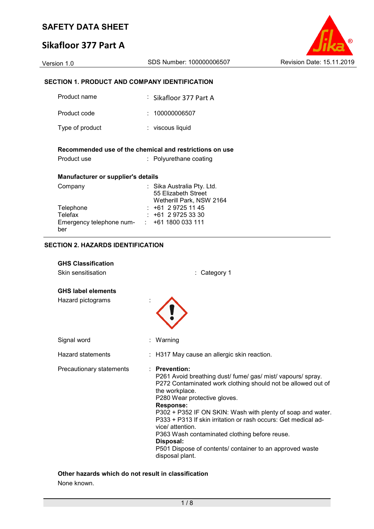# **Sikafloor 377 Part A**



## **SECTION 1. PRODUCT AND COMPANY IDENTIFICATION**

| Product name                       | : Sikafloor 377 Part A                                                        |
|------------------------------------|-------------------------------------------------------------------------------|
| Product code                       | : 100000006507                                                                |
| Type of product                    | : viscous liquid                                                              |
|                                    | Recommended use of the chemical and restrictions on use                       |
| Product use                        | : Polyurethane coating                                                        |
| Manufacturer or supplier's details |                                                                               |
| Company                            | : Sika Australia Pty. Ltd.<br>55 Elizabeth Street<br>Wetherill Park, NSW 2164 |
| Telephone                          | $: +61297251145$                                                              |
| Telefax                            | $: +61297253330$                                                              |
| Emergency telephone num- :<br>ber  | +61 1800 033 111                                                              |

#### **SECTION 2. HAZARDS IDENTIFICATION**

| <b>GHS Classification</b><br>Skin sensitisation | Category 1                                                                                                                                                                                                                                                                                                                                                                                                                                                                                                             |  |
|-------------------------------------------------|------------------------------------------------------------------------------------------------------------------------------------------------------------------------------------------------------------------------------------------------------------------------------------------------------------------------------------------------------------------------------------------------------------------------------------------------------------------------------------------------------------------------|--|
|                                                 |                                                                                                                                                                                                                                                                                                                                                                                                                                                                                                                        |  |
| <b>GHS label elements</b>                       |                                                                                                                                                                                                                                                                                                                                                                                                                                                                                                                        |  |
| Hazard pictograms                               |                                                                                                                                                                                                                                                                                                                                                                                                                                                                                                                        |  |
| Signal word                                     | : Warning                                                                                                                                                                                                                                                                                                                                                                                                                                                                                                              |  |
| <b>Hazard statements</b>                        | : H317 May cause an allergic skin reaction.                                                                                                                                                                                                                                                                                                                                                                                                                                                                            |  |
| Precautionary statements                        | $:$ Prevention:<br>P261 Avoid breathing dust/ fume/ gas/ mist/ vapours/ spray.<br>P272 Contaminated work clothing should not be allowed out of<br>the workplace.<br>P280 Wear protective gloves.<br><b>Response:</b><br>P302 + P352 IF ON SKIN: Wash with plenty of soap and water.<br>P333 + P313 If skin irritation or rash occurs: Get medical ad-<br>vice/ attention.<br>P363 Wash contaminated clothing before reuse.<br>Disposal:<br>P501 Dispose of contents/ container to an approved waste<br>disposal plant. |  |

#### **Other hazards which do not result in classification** None known.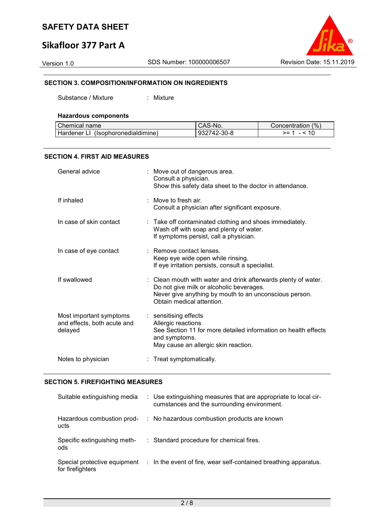# **Sikafloor 377 Part A**

Version 1.0 SDS Number: 100000006507 Revision Date: 15.11.2019

#### **SECTION 3. COMPOSITION/INFORMATION ON INGREDIENTS**

Substance / Mixture : Mixture

#### **Hazardous components**

| Chemical name                      | CAS-No.     | Concentration (%) |
|------------------------------------|-------------|-------------------|
| Hardener LI (Isophoronedialdimine) | 932742-30-8 | >= 1 - < 10       |

#### **SECTION 4. FIRST AID MEASURES**

| General advice                                                    | : Move out of dangerous area.<br>Consult a physician.<br>Show this safety data sheet to the doctor in attendance.                                                                                 |
|-------------------------------------------------------------------|---------------------------------------------------------------------------------------------------------------------------------------------------------------------------------------------------|
| If inhaled                                                        | : Move to fresh air.<br>Consult a physician after significant exposure.                                                                                                                           |
| In case of skin contact                                           | : Take off contaminated clothing and shoes immediately.<br>Wash off with soap and plenty of water.<br>If symptoms persist, call a physician.                                                      |
| In case of eye contact                                            | : Remove contact lenses.<br>Keep eye wide open while rinsing.<br>If eye irritation persists, consult a specialist.                                                                                |
| If swallowed                                                      | : Clean mouth with water and drink afterwards plenty of water.<br>Do not give milk or alcoholic beverages.<br>Never give anything by mouth to an unconscious person.<br>Obtain medical attention. |
| Most important symptoms<br>and effects, both acute and<br>delayed | : sensitising effects<br>Allergic reactions<br>See Section 11 for more detailed information on health effects<br>and symptoms.<br>May cause an allergic skin reaction.                            |
| Notes to physician                                                | : Treat symptomatically.                                                                                                                                                                          |

#### **SECTION 5. FIREFIGHTING MEASURES**

| Suitable extinguishing media        | : Use extinguishing measures that are appropriate to local cir-<br>cumstances and the surrounding environment. |
|-------------------------------------|----------------------------------------------------------------------------------------------------------------|
| Hazardous combustion prod-<br>ucts  | : No hazardous combustion products are known                                                                   |
| Specific extinguishing meth-<br>ods | : Standard procedure for chemical fires.                                                                       |
| for firefighters                    | Special protective equipment : In the event of fire, wear self-contained breathing apparatus.                  |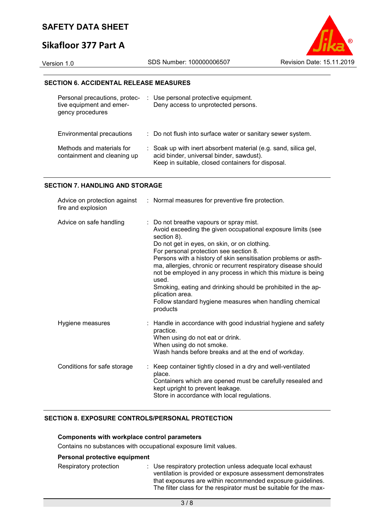# **Sikafloor 377 Part A**

Version 1.0 SDS Number: 100000006507 Revision Date: 15.11.2019

#### **SECTION 6. ACCIDENTAL RELEASE MEASURES**

| Personal precautions, protec-<br>tive equipment and emer-<br>gency procedures | : Use personal protective equipment.<br>Deny access to unprotected persons.                                                                                      |
|-------------------------------------------------------------------------------|------------------------------------------------------------------------------------------------------------------------------------------------------------------|
| Environmental precautions                                                     | : Do not flush into surface water or sanitary sewer system.                                                                                                      |
| Methods and materials for<br>containment and cleaning up                      | : Soak up with inert absorbent material (e.g. sand, silica gel,<br>acid binder, universal binder, sawdust).<br>Keep in suitable, closed containers for disposal. |

#### **SECTION 7. HANDLING AND STORAGE**

| fire and explosion          | Advice on protection against : Normal measures for preventive fire protection.                                                                                                                                                                                                                                                                                                                                                                                                                                                                                                          |
|-----------------------------|-----------------------------------------------------------------------------------------------------------------------------------------------------------------------------------------------------------------------------------------------------------------------------------------------------------------------------------------------------------------------------------------------------------------------------------------------------------------------------------------------------------------------------------------------------------------------------------------|
| Advice on safe handling     | : Do not breathe vapours or spray mist.<br>Avoid exceeding the given occupational exposure limits (see<br>section 8).<br>Do not get in eyes, on skin, or on clothing.<br>For personal protection see section 8.<br>Persons with a history of skin sensitisation problems or asth-<br>ma, allergies, chronic or recurrent respiratory disease should<br>not be employed in any process in which this mixture is being<br>used.<br>Smoking, eating and drinking should be prohibited in the ap-<br>plication area.<br>Follow standard hygiene measures when handling chemical<br>products |
| Hygiene measures            | : Handle in accordance with good industrial hygiene and safety<br>practice.<br>When using do not eat or drink.<br>When using do not smoke.<br>Wash hands before breaks and at the end of workday.                                                                                                                                                                                                                                                                                                                                                                                       |
| Conditions for safe storage | Keep container tightly closed in a dry and well-ventilated<br>place.<br>Containers which are opened must be carefully resealed and<br>kept upright to prevent leakage.<br>Store in accordance with local regulations.                                                                                                                                                                                                                                                                                                                                                                   |

#### **SECTION 8. EXPOSURE CONTROLS/PERSONAL PROTECTION**

#### **Components with workplace control parameters**

Contains no substances with occupational exposure limit values.

### **Personal protective equipment**

| Respiratory protection | : Use respiratory protection unless adequate local exhaust        |
|------------------------|-------------------------------------------------------------------|
|                        | ventilation is provided or exposure assessment demonstrates       |
|                        | that exposures are within recommended exposure guidelines.        |
|                        | The filter class for the respirator must be suitable for the max- |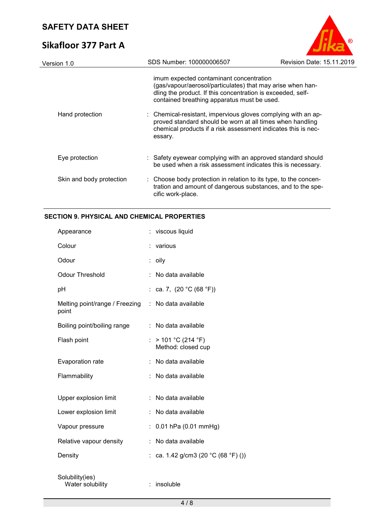# **Sikafloor 377 Part A**



| Version 1.0              | SDS Number: 100000006507                                                                                                                                                                                            | Revision Date: 15.11.2019 |
|--------------------------|---------------------------------------------------------------------------------------------------------------------------------------------------------------------------------------------------------------------|---------------------------|
|                          | imum expected contaminant concentration<br>(gas/vapour/aerosol/particulates) that may arise when han-<br>dling the product. If this concentration is exceeded, self-<br>contained breathing apparatus must be used. |                           |
| Hand protection          | : Chemical-resistant, impervious gloves complying with an ap-<br>proved standard should be worn at all times when handling<br>chemical products if a risk assessment indicates this is nec-<br>essary.              |                           |
| Eye protection           | : Safety eyewear complying with an approved standard should<br>be used when a risk assessment indicates this is necessary.                                                                                          |                           |
| Skin and body protection | : Choose body protection in relation to its type, to the concen-<br>tration and amount of dangerous substances, and to the spe-<br>cific work-place.                                                                |                           |
|                          |                                                                                                                                                                                                                     |                           |

## **SECTION 9. PHYSICAL AND CHEMICAL PROPERTIES**

| Appearance                              |    | viscous liquid                              |
|-----------------------------------------|----|---------------------------------------------|
| Colour                                  |    | various                                     |
| Odour                                   | t  | oily                                        |
| <b>Odour Threshold</b>                  |    | No data available                           |
| pH                                      |    | ca. 7, $(20 °C (68 °F))$                    |
| Melting point/range / Freezing<br>point | ÷  | No data available                           |
| Boiling point/boiling range             |    | No data available                           |
| Flash point                             |    | : $> 101 °C (214 °F)$<br>Method: closed cup |
| Evaporation rate                        |    | No data available                           |
| Flammability                            | t. | No data available                           |
|                                         |    |                                             |
| Upper explosion limit                   |    | No data available                           |
| Lower explosion limit                   |    | No data available                           |
| Vapour pressure                         |    | 0.01 hPa (0.01 mmHg)                        |
| Relative vapour density                 |    | No data available                           |
| Density                                 |    | ca. 1.42 g/cm3 (20 °C (68 °F) ())           |
| Solubility(ies)<br>Water solubility     | ÷. | insoluble                                   |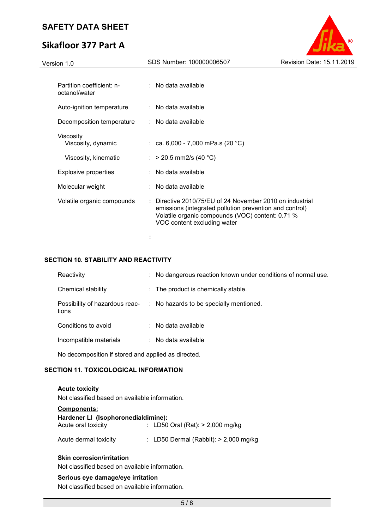# **Sikafloor 377 Part A**



| Version 1.0                                | SDS Number: 100000006507                                                                                                                                                                             | Revision Date: 15.11.2019 |
|--------------------------------------------|------------------------------------------------------------------------------------------------------------------------------------------------------------------------------------------------------|---------------------------|
| Partition coefficient: n-                  | : No data available                                                                                                                                                                                  |                           |
| octanol/water<br>Auto-ignition temperature | $:$ No data available                                                                                                                                                                                |                           |
| Decomposition temperature                  | : No data available                                                                                                                                                                                  |                           |
| Viscosity<br>Viscosity, dynamic            | : ca. 6,000 - 7,000 mPa.s (20 °C)                                                                                                                                                                    |                           |
| Viscosity, kinematic                       | : > 20.5 mm2/s (40 °C)                                                                                                                                                                               |                           |
| <b>Explosive properties</b>                | : No data available                                                                                                                                                                                  |                           |
| Molecular weight                           | : No data available                                                                                                                                                                                  |                           |
| Volatile organic compounds                 | Directive 2010/75/EU of 24 November 2010 on industrial<br>emissions (integrated pollution prevention and control)<br>Volatile organic compounds (VOC) content: 0.71 %<br>VOC content excluding water |                           |
|                                            |                                                                                                                                                                                                      |                           |

#### **SECTION 10. STABILITY AND REACTIVITY**

| Reactivity                                          | : No dangerous reaction known under conditions of normal use.          |  |
|-----------------------------------------------------|------------------------------------------------------------------------|--|
| Chemical stability                                  | : The product is chemically stable.                                    |  |
| tions                                               | Possibility of hazardous reac- : No hazards to be specially mentioned. |  |
| Conditions to avoid                                 | : No data available                                                    |  |
| Incompatible materials                              | $\therefore$ No data available                                         |  |
| No decomposition if stored and applied as directed. |                                                                        |  |

#### **SECTION 11. TOXICOLOGICAL INFORMATION**

**Acute toxicity**  Not classified based on available information.

| <b>Components:</b>                  |  |                                         |  |  |  |  |
|-------------------------------------|--|-----------------------------------------|--|--|--|--|
| Hardener LI (Isophoronedialdimine): |  |                                         |  |  |  |  |
| Acute oral toxicity                 |  | : LD50 Oral (Rat): $> 2,000$ mg/kg      |  |  |  |  |
| Acute dermal toxicity               |  | : LD50 Dermal (Rabbit): $>$ 2,000 mg/kg |  |  |  |  |

#### **Skin corrosion/irritation**

Not classified based on available information.

#### **Serious eye damage/eye irritation**

Not classified based on available information.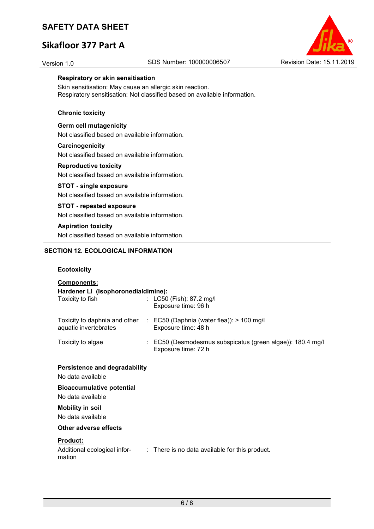# **Sikafloor 377 Part A**



#### **Respiratory or skin sensitisation**

Skin sensitisation: May cause an allergic skin reaction. Respiratory sensitisation: Not classified based on available information.

#### **Chronic toxicity**

#### **Germ cell mutagenicity**

Not classified based on available information.

#### **Carcinogenicity**

Not classified based on available information.

#### **Reproductive toxicity**

Not classified based on available information.

#### **STOT - single exposure**

Not classified based on available information.

#### **STOT - repeated exposure**

Not classified based on available information.

#### **Aspiration toxicity**

Not classified based on available information.

#### **SECTION 12. ECOLOGICAL INFORMATION**

#### **Ecotoxicity**

| <b>Components:</b>                                        |                                                                                                |  |  |  |
|-----------------------------------------------------------|------------------------------------------------------------------------------------------------|--|--|--|
| Hardener LI (Isophoronedialdimine):                       |                                                                                                |  |  |  |
| Toxicity to fish                                          | : $L C50$ (Fish): 87.2 mg/l<br>Exposure time: 96 h                                             |  |  |  |
| aquatic invertebrates                                     | Toxicity to daphnia and other : EC50 (Daphnia (water flea)): > 100 mg/l<br>Exposure time: 48 h |  |  |  |
| Toxicity to algae                                         | : EC50 (Desmodesmus subspicatus (green algae)): 180.4 mg/l<br>Exposure time: 72 h              |  |  |  |
| <b>Persistence and degradability</b>                      |                                                                                                |  |  |  |
| No data available                                         |                                                                                                |  |  |  |
| <b>Bioaccumulative potential</b>                          |                                                                                                |  |  |  |
| No data available                                         |                                                                                                |  |  |  |
| <b>Mobility in soil</b>                                   |                                                                                                |  |  |  |
| No data available                                         |                                                                                                |  |  |  |
| <b>Other adverse effects</b>                              |                                                                                                |  |  |  |
| <b>Product:</b><br>Additional ecological infor-<br>mation | : There is no data available for this product.                                                 |  |  |  |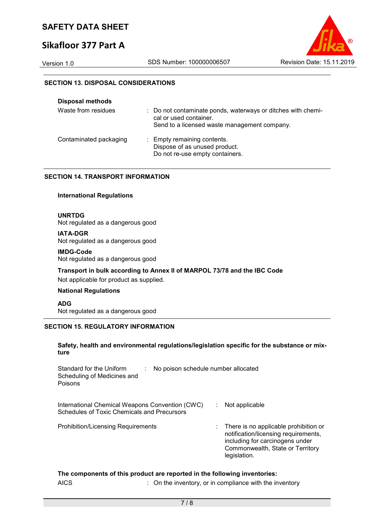# **Sikafloor 377 Part A**



#### **SECTION 13. DISPOSAL CONSIDERATIONS**

| <b>Disposal methods</b> |                                                                                                                                        |
|-------------------------|----------------------------------------------------------------------------------------------------------------------------------------|
| Waste from residues     | : Do not contaminate ponds, waterways or ditches with chemi-<br>cal or used container.<br>Send to a licensed waste management company. |
| Contaminated packaging  | : Empty remaining contents.<br>Dispose of as unused product.<br>Do not re-use empty containers.                                        |

#### **SECTION 14. TRANSPORT INFORMATION**

#### **International Regulations**

#### **UNRTDG**

Not regulated as a dangerous good

#### **IATA-DGR**

Not regulated as a dangerous good

#### **IMDG-Code**

Not regulated as a dangerous good

#### **Transport in bulk according to Annex II of MARPOL 73/78 and the IBC Code**

Not applicable for product as supplied.

#### **National Regulations**

**ADG** Not regulated as a dangerous good

#### **SECTION 15. REGULATORY INFORMATION**

#### **Safety, health and environmental regulations/legislation specific for the substance or mixture**

| Standard for the Uniform<br>Scheduling of Medicines and<br>Poisons                                    | No poison schedule number allocated |                                                                                                                                                                      |
|-------------------------------------------------------------------------------------------------------|-------------------------------------|----------------------------------------------------------------------------------------------------------------------------------------------------------------------|
| International Chemical Weapons Convention (CWC)<br><b>Schedules of Toxic Chemicals and Precursors</b> | ÷                                   | Not applicable                                                                                                                                                       |
| <b>Prohibition/Licensing Requirements</b>                                                             |                                     | There is no applicable prohibition or<br>notification/licensing requirements,<br>including for carcinogens under<br>Commonwealth, State or Territory<br>legislation. |

#### **The components of this product are reported in the following inventories:**

AICS **Subseted State in the inventory**, or in compliance with the inventory